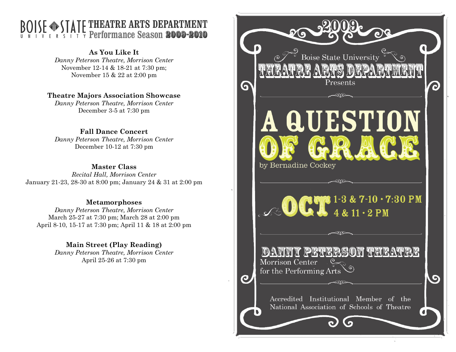## THEATRE ARTS DEPARTMENT Ferformance Season 2009-2010

## As You Like It

 Danny Peterson Theatre, Morrison Center November 12-14 & 18-21 at 7:30 pm; November 15 & 22 at 2:00 pm

## Theatre Majors Association Showcase

Danny Peterson Theatre, Morrison Center December 3-5 at 7:30 pm

## Fall Dance Concert

 Danny Peterson Theatre, Morrison Center December 10-12 at 7:30 pm

### Master Class

 Recital Hall, Morrison Center January 21-23, 28-30 at 8:00 pm; January 24 & 31 at 2:00 pm

### Metamorphoses

 Danny Peterson Theatre, Morrison Center March 25-27 at 7:30 pm; March 28 at 2:00 pm April 8-10, 15-17 at 7:30 pm; April 11 & 18 at 2:00 pm

> Main Street (Play Reading) Danny Peterson Theatre, Morrison Center

> > April 25-26 at 7:30 pm

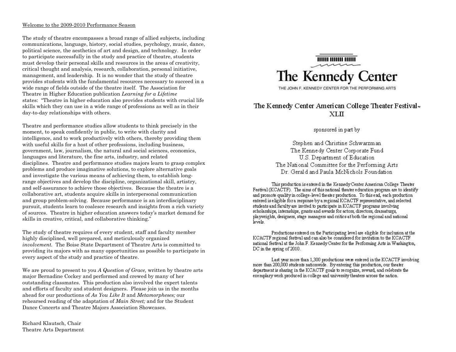#### Welcome to the 2009-2010 Performance Season

The study of theatre encompasses a broad range of allied subjects, including communications, language, history, social studies, psychology, music, dance, political science, the aesthetics of art and design, and technology. In order to participate successfully in the study and practice of theatre, students must develop their personal skills and resources in the areas of creativity, critical thought and analysis, research, collaboration, personal initiative, management, and leadership. It is no wonder that the study of theatre provides students with the fundamental resources necessary to succeed in a wide range of fields outside of the theatre itself. The Association for Theatre in Higher Education publication Learning for a Lifetime states: "Theatre in higher education also provides students with crucial life skills which they can use in a wide range of professions as well as in their day-to-day relationships with others.

Theatre and performance studies allow students to think precisely in the moment, to speak confidently in public, to write with clarity and intelligence, and to work productively with others, thereby providing them with useful skills for a host of other professions, including business, government, law, journalism, the natural and social sciences, economics, languages and literature, the fine arts, industry, and related disciplines. Theatre and performance studies majors learn to grasp complex problems and produce imaginative solutions, to explore alternative goals and investigate the various means of achieving them, to establish longrange objectives and develop the discipline, organizational skill, artistry, and self-assurance to achieve those objectives. Because the theatre is a collaborative art, students acquire skills in interpersonal communication and group problem-solving. Because performance is an interdisciplinary pursuit, students learn to coalesce research and insights from a rich variety of sources. Theatre in higher education answers today's market demand for skills in creative, critical, and collaborative thinking."

The study of theatre requires of every student, staff and faculty member highly disciplined, well prepared, and meticulously organized involvement. The Boise State Department of Theatre Arts is committed to providing its majors with as many opportunities as possible to participate in every aspect of the study and practice of theatre.

We are proud to present to you  $\tilde{A}$  Question of Grace, written by theatre arts major Bernadine Cockey and performed and crewed by many of her outstanding classmates. This production also involved the expert talents and efforts of faculty and student designers. Please join us in the months ahead for our productions of As You Like It and Metamorpheses; our rehearsed reading of the adaptation of Main Street; and for the Student Dance Concerts and Theatre Majors Association Showcases.

Richard Klautsch, Chair Theatre Arts Department



THE JOHN F. KENNEDY CENTER FOR THE PERFORMING ARTS

### The Kennedy Center American College Theater Festival-XLП

sponsored in part by

Stephen and Christine Schwarzman The Kennedy Center Corporate Fund U.S. Department of Education The National Committee for the Performing Arts Dr. Gerald and Paula McNichols Foundation

This production is entered in the Kennedy Center American College Theater Festival (KCACTF). The aims of this national theater education program are to identify and promote quality in college-level the ater production. To this end, each production entered is eligible for a response by a regional KCACTF representative, and selected students and faculty are invited to participate in KCACTF programs involving scholarships, internships, grants and awards for actors, directors, dramaturgs, playwrights, designers, stage managers and critics at both the regional and national levels.

Productions entered on the Participating level are eligible for inclusion at the KCACTF regional festival and can also be considered for invitation to the KCACTF national festival at the John F. Kennedy Center for the Performing Arts in Washington, DC in the spring of 2010.

Last year more than 1,300 productions were entered in the KCACTF involving more than 200,000 students nationwide. By entering this production, our theater department is sharing in the KCACTF goals to recognize, reward, and celebrate the exemplary work produced in college and university theaters across the nation.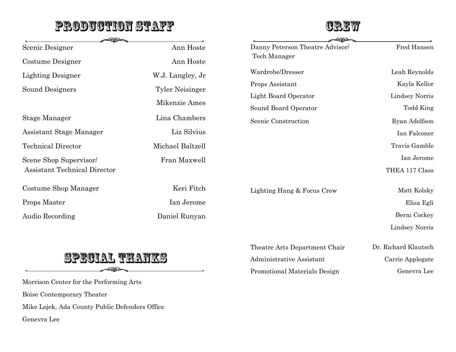## **PRODUCTION STAFF**



Theatre Arts Department Chair Dr. Richard Klautsch

Administrative Assistant Carrie Applegate

Promotional Materials Design Genevra Lee

| -200 <del>-</del>                   |                                         | <u>- 2152 - </u>                |                       |
|-------------------------------------|-----------------------------------------|---------------------------------|-----------------------|
| Scenic Designer                     | Ann Hoste                               | Danny Peterson Theatre Advisor/ | Fred Hansen           |
| Costume Designer                    | Ann Hoste                               | Tech Manager                    |                       |
| <b>Lighting Designer</b>            | W.J. Langley, Jr                        | Wardrobe/Dresser                | Leah Reynolds         |
| Sound Designers                     | <b>Tyler Neisinger</b><br>Mikenzie Ames | Props Assistant                 | Kayla Kellor          |
|                                     |                                         | Light Board Operator            | <b>Lindsey Norris</b> |
|                                     |                                         | Sound Board Operator            | <b>Todd King</b>      |
| Stage Manager                       | Lina Chambers                           | Scenic Construction             | Ryan Adolfson         |
| Assistant Stage Manager             | Liz Silvius                             |                                 | Ian Falconer          |
| <b>Technical Director</b>           | Michael Baltzell                        |                                 | Travis Gamble         |
| Scene Shop Supervisor/              | Fran Maxwell                            |                                 | Ian Jerome            |
| <b>Assistant Technical Director</b> |                                         |                                 | THEA 117 Class        |
| Costume Shop Manager                | Keri Fitch                              | Lighting Hang & Focus Crew      | Matt Kolsky           |
| Props Master                        | Ian Jerome                              |                                 | Elisa Egli            |
| Audio Recording                     | Daniel Runyan                           |                                 | Berni Cockey          |
|                                     |                                         |                                 | Lindsey Norris        |

## **SPECIAL TEATKS**  $\circledcirc$

Morrison Center for the Performing Arts Boise Contemporary Theater Mike Lojek, Ada County Public Defenders Office Genevra Lee